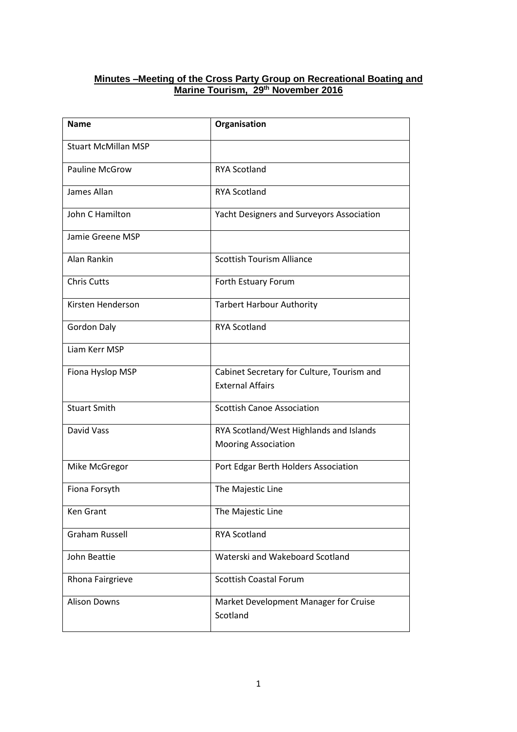#### **Minutes –Meeting of the Cross Party Group on Recreational Boating and Marine Tourism, 29th November 2016**

| <b>Name</b>                | Organisation                                                          |  |
|----------------------------|-----------------------------------------------------------------------|--|
| <b>Stuart McMillan MSP</b> |                                                                       |  |
| <b>Pauline McGrow</b>      | <b>RYA Scotland</b>                                                   |  |
| James Allan                | <b>RYA Scotland</b>                                                   |  |
| John C Hamilton            | Yacht Designers and Surveyors Association                             |  |
| Jamie Greene MSP           |                                                                       |  |
| Alan Rankin                | <b>Scottish Tourism Alliance</b>                                      |  |
| <b>Chris Cutts</b>         | Forth Estuary Forum                                                   |  |
| Kirsten Henderson          | <b>Tarbert Harbour Authority</b>                                      |  |
| <b>Gordon Daly</b>         | <b>RYA Scotland</b>                                                   |  |
| Liam Kerr MSP              |                                                                       |  |
| Fiona Hyslop MSP           | Cabinet Secretary for Culture, Tourism and<br><b>External Affairs</b> |  |
|                            |                                                                       |  |
| <b>Stuart Smith</b>        | <b>Scottish Canoe Association</b>                                     |  |
| David Vass                 | RYA Scotland/West Highlands and Islands                               |  |
|                            | <b>Mooring Association</b>                                            |  |
| Mike McGregor              | Port Edgar Berth Holders Association                                  |  |
| Fiona Forsyth              | The Majestic Line                                                     |  |
| <b>Ken Grant</b>           | The Majestic Line                                                     |  |
| <b>Graham Russell</b>      | <b>RYA Scotland</b>                                                   |  |
| John Beattie               | Waterski and Wakeboard Scotland                                       |  |
| Rhona Fairgrieve           | <b>Scottish Coastal Forum</b>                                         |  |
| <b>Alison Downs</b>        | Market Development Manager for Cruise<br>Scotland                     |  |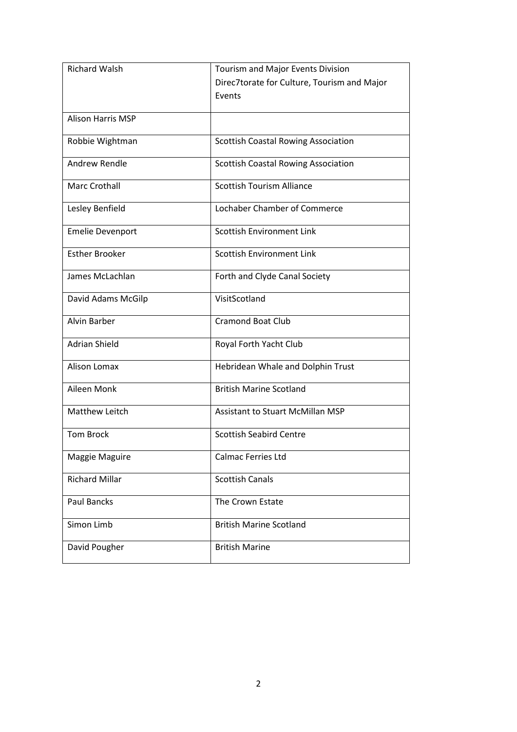| <b>Richard Walsh</b>     | Tourism and Major Events Division           |
|--------------------------|---------------------------------------------|
|                          | Direc7torate for Culture, Tourism and Major |
|                          | Events                                      |
|                          |                                             |
| <b>Alison Harris MSP</b> |                                             |
| Robbie Wightman          | <b>Scottish Coastal Rowing Association</b>  |
|                          |                                             |
| Andrew Rendle            | <b>Scottish Coastal Rowing Association</b>  |
| <b>Marc Crothall</b>     | <b>Scottish Tourism Alliance</b>            |
|                          |                                             |
| Lesley Benfield          | Lochaber Chamber of Commerce                |
|                          |                                             |
| <b>Emelie Devenport</b>  | <b>Scottish Environment Link</b>            |
| <b>Esther Brooker</b>    | <b>Scottish Environment Link</b>            |
|                          |                                             |
| James McLachlan          | Forth and Clyde Canal Society               |
|                          |                                             |
| David Adams McGilp       | VisitScotland                               |
| Alvin Barber             | <b>Cramond Boat Club</b>                    |
|                          |                                             |
| <b>Adrian Shield</b>     | Royal Forth Yacht Club                      |
|                          |                                             |
| Alison Lomax             | Hebridean Whale and Dolphin Trust           |
| Aileen Monk              | <b>British Marine Scotland</b>              |
|                          |                                             |
| Matthew Leitch           | <b>Assistant to Stuart McMillan MSP</b>     |
|                          |                                             |
| <b>Tom Brock</b>         | <b>Scottish Seabird Centre</b>              |
| Maggie Maguire           | Calmac Ferries Ltd                          |
|                          |                                             |
| <b>Richard Millar</b>    | <b>Scottish Canals</b>                      |
|                          |                                             |
| <b>Paul Bancks</b>       | The Crown Estate                            |
| Simon Limb               | <b>British Marine Scotland</b>              |
|                          |                                             |
| David Pougher            | <b>British Marine</b>                       |
|                          |                                             |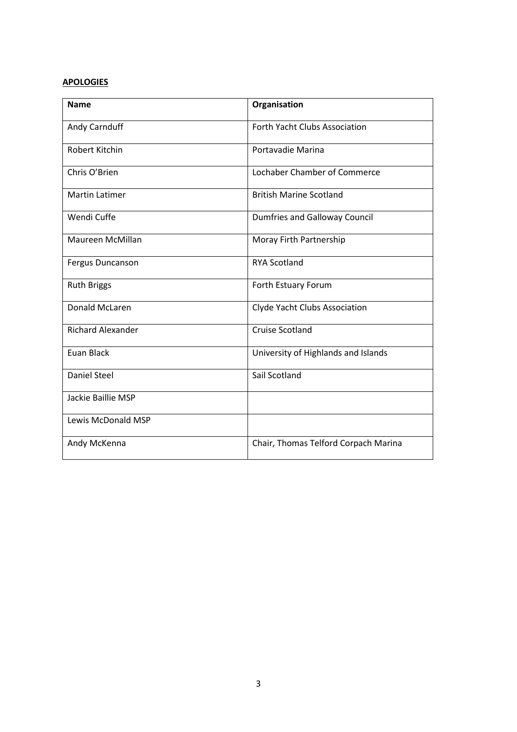# **APOLOGIES**

| <b>Name</b>               | Organisation                         |  |  |
|---------------------------|--------------------------------------|--|--|
| Andy Carnduff             | <b>Forth Yacht Clubs Association</b> |  |  |
| Robert Kitchin            | Portavadie Marina                    |  |  |
| Chris O'Brien             | Lochaber Chamber of Commerce         |  |  |
| <b>Martin Latimer</b>     | <b>British Marine Scotland</b>       |  |  |
| Wendi Cuffe               | <b>Dumfries and Galloway Council</b> |  |  |
| Maureen McMillan          | Moray Firth Partnership              |  |  |
| Fergus Duncanson          | <b>RYA Scotland</b>                  |  |  |
| <b>Ruth Briggs</b>        | Forth Estuary Forum                  |  |  |
| Donald McLaren            | Clyde Yacht Clubs Association        |  |  |
| <b>Richard Alexander</b>  | <b>Cruise Scotland</b>               |  |  |
| <b>Euan Black</b>         | University of Highlands and Islands  |  |  |
| <b>Daniel Steel</b>       | Sail Scotland                        |  |  |
| Jackie Baillie MSP        |                                      |  |  |
| <b>Lewis McDonald MSP</b> |                                      |  |  |
| Andy McKenna              | Chair, Thomas Telford Corpach Marina |  |  |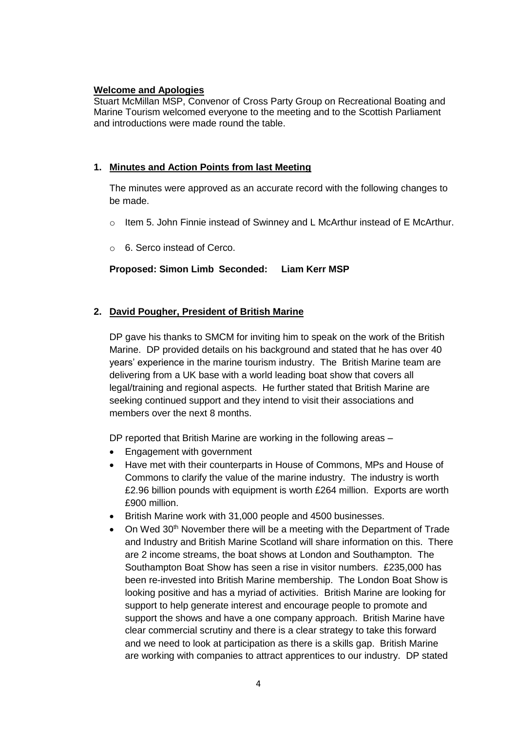#### **Welcome and Apologies**

Stuart McMillan MSP, Convenor of Cross Party Group on Recreational Boating and Marine Tourism welcomed everyone to the meeting and to the Scottish Parliament and introductions were made round the table.

## **1. Minutes and Action Points from last Meeting**

The minutes were approved as an accurate record with the following changes to be made.

- $\circ$  Item 5. John Finnie instead of Swinney and L McArthur instead of E McArthur.
- o 6. Serco instead of Cerco.

#### **Proposed: Simon Limb Seconded: Liam Kerr MSP**

#### **2. David Pougher, President of British Marine**

DP gave his thanks to SMCM for inviting him to speak on the work of the British Marine. DP provided details on his background and stated that he has over 40 years' experience in the marine tourism industry. The British Marine team are delivering from a UK base with a world leading boat show that covers all legal/training and regional aspects. He further stated that British Marine are seeking continued support and they intend to visit their associations and members over the next 8 months.

DP reported that British Marine are working in the following areas –

- Engagement with government
- Have met with their counterparts in House of Commons, MPs and House of Commons to clarify the value of the marine industry. The industry is worth £2.96 billion pounds with equipment is worth £264 million. Exports are worth £900 million.
- British Marine work with 31,000 people and 4500 businesses.
- On Wed 30<sup>th</sup> November there will be a meeting with the Department of Trade and Industry and British Marine Scotland will share information on this. There are 2 income streams, the boat shows at London and Southampton. The Southampton Boat Show has seen a rise in visitor numbers. £235,000 has been re-invested into British Marine membership. The London Boat Show is looking positive and has a myriad of activities. British Marine are looking for support to help generate interest and encourage people to promote and support the shows and have a one company approach. British Marine have clear commercial scrutiny and there is a clear strategy to take this forward and we need to look at participation as there is a skills gap. British Marine are working with companies to attract apprentices to our industry. DP stated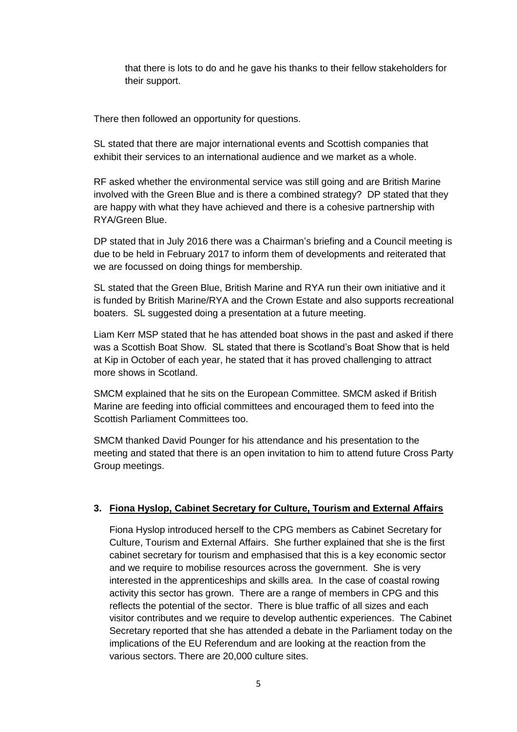that there is lots to do and he gave his thanks to their fellow stakeholders for their support.

There then followed an opportunity for questions.

SL stated that there are major international events and Scottish companies that exhibit their services to an international audience and we market as a whole.

RF asked whether the environmental service was still going and are British Marine involved with the Green Blue and is there a combined strategy? DP stated that they are happy with what they have achieved and there is a cohesive partnership with RYA/Green Blue.

DP stated that in July 2016 there was a Chairman's briefing and a Council meeting is due to be held in February 2017 to inform them of developments and reiterated that we are focussed on doing things for membership.

SL stated that the Green Blue, British Marine and RYA run their own initiative and it is funded by British Marine/RYA and the Crown Estate and also supports recreational boaters. SL suggested doing a presentation at a future meeting.

Liam Kerr MSP stated that he has attended boat shows in the past and asked if there was a Scottish Boat Show. SL stated that there is Scotland's Boat Show that is held at Kip in October of each year, he stated that it has proved challenging to attract more shows in Scotland.

SMCM explained that he sits on the European Committee. SMCM asked if British Marine are feeding into official committees and encouraged them to feed into the Scottish Parliament Committees too.

SMCM thanked David Pounger for his attendance and his presentation to the meeting and stated that there is an open invitation to him to attend future Cross Party Group meetings.

## **3. Fiona Hyslop, Cabinet Secretary for Culture, Tourism and External Affairs**

Fiona Hyslop introduced herself to the CPG members as Cabinet Secretary for Culture, Tourism and External Affairs. She further explained that she is the first cabinet secretary for tourism and emphasised that this is a key economic sector and we require to mobilise resources across the government. She is very interested in the apprenticeships and skills area. In the case of coastal rowing activity this sector has grown. There are a range of members in CPG and this reflects the potential of the sector. There is blue traffic of all sizes and each visitor contributes and we require to develop authentic experiences. The Cabinet Secretary reported that she has attended a debate in the Parliament today on the implications of the EU Referendum and are looking at the reaction from the various sectors. There are 20,000 culture sites.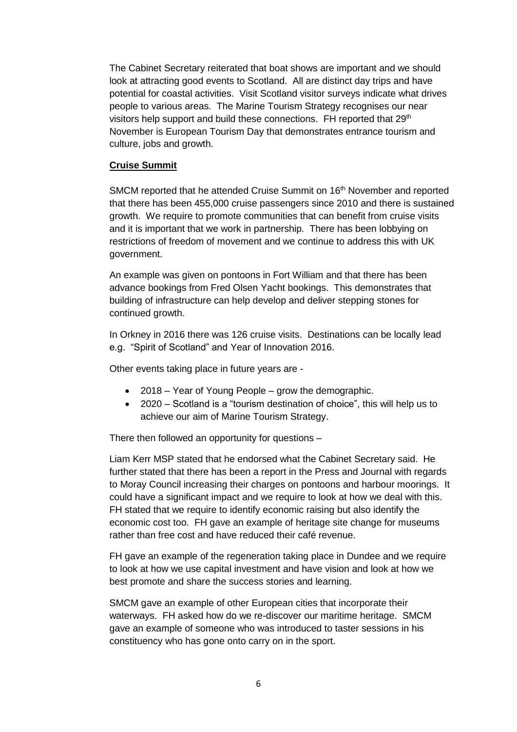The Cabinet Secretary reiterated that boat shows are important and we should look at attracting good events to Scotland. All are distinct day trips and have potential for coastal activities. Visit Scotland visitor surveys indicate what drives people to various areas. The Marine Tourism Strategy recognises our near visitors help support and build these connections. FH reported that 29<sup>th</sup> November is European Tourism Day that demonstrates entrance tourism and culture, jobs and growth.

#### **Cruise Summit**

SMCM reported that he attended Cruise Summit on 16<sup>th</sup> November and reported that there has been 455,000 cruise passengers since 2010 and there is sustained growth. We require to promote communities that can benefit from cruise visits and it is important that we work in partnership. There has been lobbying on restrictions of freedom of movement and we continue to address this with UK government.

An example was given on pontoons in Fort William and that there has been advance bookings from Fred Olsen Yacht bookings. This demonstrates that building of infrastructure can help develop and deliver stepping stones for continued growth.

In Orkney in 2016 there was 126 cruise visits. Destinations can be locally lead e.g. "Spirit of Scotland" and Year of Innovation 2016.

Other events taking place in future years are -

- 2018 Year of Young People grow the demographic.
- 2020 Scotland is a "tourism destination of choice", this will help us to achieve our aim of Marine Tourism Strategy.

There then followed an opportunity for questions –

Liam Kerr MSP stated that he endorsed what the Cabinet Secretary said. He further stated that there has been a report in the Press and Journal with regards to Moray Council increasing their charges on pontoons and harbour moorings. It could have a significant impact and we require to look at how we deal with this. FH stated that we require to identify economic raising but also identify the economic cost too. FH gave an example of heritage site change for museums rather than free cost and have reduced their café revenue.

FH gave an example of the regeneration taking place in Dundee and we require to look at how we use capital investment and have vision and look at how we best promote and share the success stories and learning.

SMCM gave an example of other European cities that incorporate their waterways. FH asked how do we re-discover our maritime heritage. SMCM gave an example of someone who was introduced to taster sessions in his constituency who has gone onto carry on in the sport.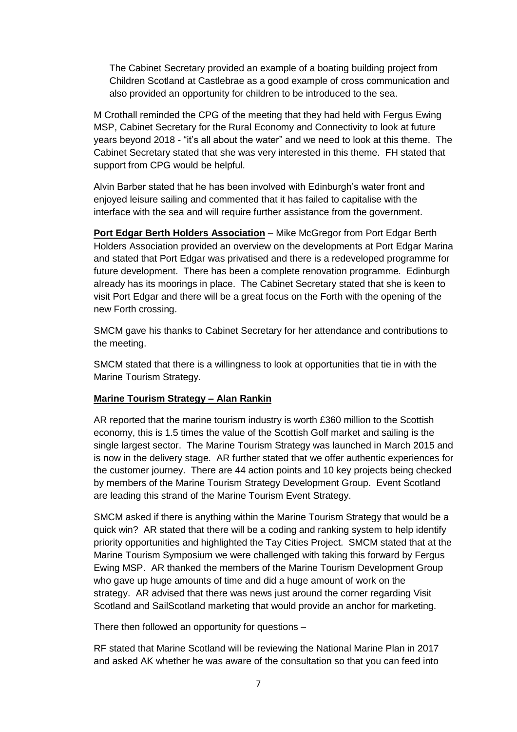The Cabinet Secretary provided an example of a boating building project from Children Scotland at Castlebrae as a good example of cross communication and also provided an opportunity for children to be introduced to the sea.

M Crothall reminded the CPG of the meeting that they had held with Fergus Ewing MSP, Cabinet Secretary for the Rural Economy and Connectivity to look at future years beyond 2018 - "it's all about the water" and we need to look at this theme. The Cabinet Secretary stated that she was very interested in this theme. FH stated that support from CPG would be helpful.

Alvin Barber stated that he has been involved with Edinburgh's water front and enjoyed leisure sailing and commented that it has failed to capitalise with the interface with the sea and will require further assistance from the government.

**Port Edgar Berth Holders Association** – Mike McGregor from Port Edgar Berth Holders Association provided an overview on the developments at Port Edgar Marina and stated that Port Edgar was privatised and there is a redeveloped programme for future development. There has been a complete renovation programme. Edinburgh already has its moorings in place. The Cabinet Secretary stated that she is keen to visit Port Edgar and there will be a great focus on the Forth with the opening of the new Forth crossing.

SMCM gave his thanks to Cabinet Secretary for her attendance and contributions to the meeting.

SMCM stated that there is a willingness to look at opportunities that tie in with the Marine Tourism Strategy.

#### **Marine Tourism Strategy – Alan Rankin**

AR reported that the marine tourism industry is worth £360 million to the Scottish economy, this is 1.5 times the value of the Scottish Golf market and sailing is the single largest sector. The Marine Tourism Strategy was launched in March 2015 and is now in the delivery stage. AR further stated that we offer authentic experiences for the customer journey. There are 44 action points and 10 key projects being checked by members of the Marine Tourism Strategy Development Group. Event Scotland are leading this strand of the Marine Tourism Event Strategy.

SMCM asked if there is anything within the Marine Tourism Strategy that would be a quick win? AR stated that there will be a coding and ranking system to help identify priority opportunities and highlighted the Tay Cities Project. SMCM stated that at the Marine Tourism Symposium we were challenged with taking this forward by Fergus Ewing MSP. AR thanked the members of the Marine Tourism Development Group who gave up huge amounts of time and did a huge amount of work on the strategy. AR advised that there was news just around the corner regarding Visit Scotland and SailScotland marketing that would provide an anchor for marketing.

There then followed an opportunity for questions –

RF stated that Marine Scotland will be reviewing the National Marine Plan in 2017 and asked AK whether he was aware of the consultation so that you can feed into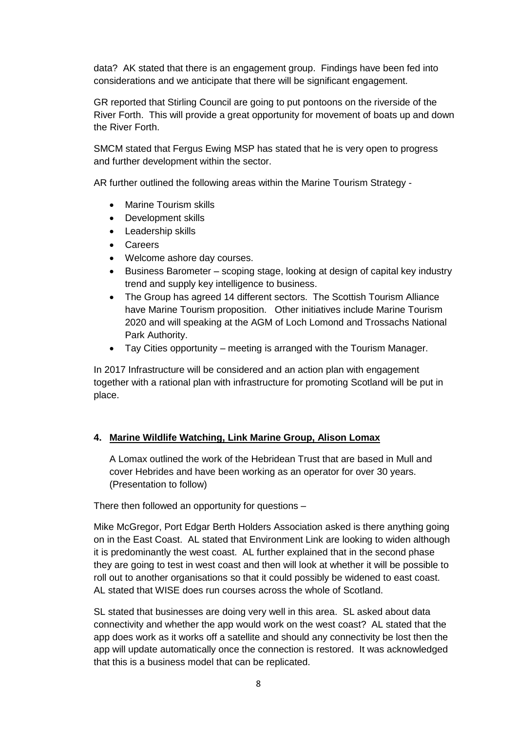data? AK stated that there is an engagement group. Findings have been fed into considerations and we anticipate that there will be significant engagement.

GR reported that Stirling Council are going to put pontoons on the riverside of the River Forth. This will provide a great opportunity for movement of boats up and down the River Forth.

SMCM stated that Fergus Ewing MSP has stated that he is very open to progress and further development within the sector.

AR further outlined the following areas within the Marine Tourism Strategy -

- Marine Tourism skills
- Development skills
- Leadership skills
- **Careers**
- Welcome ashore day courses.
- Business Barometer scoping stage, looking at design of capital key industry trend and supply key intelligence to business.
- The Group has agreed 14 different sectors. The Scottish Tourism Alliance have Marine Tourism proposition. Other initiatives include Marine Tourism 2020 and will speaking at the AGM of Loch Lomond and Trossachs National Park Authority.
- Tay Cities opportunity meeting is arranged with the Tourism Manager.

In 2017 Infrastructure will be considered and an action plan with engagement together with a rational plan with infrastructure for promoting Scotland will be put in place.

#### **4. Marine Wildlife Watching, Link Marine Group, Alison Lomax**

A Lomax outlined the work of the Hebridean Trust that are based in Mull and cover Hebrides and have been working as an operator for over 30 years. (Presentation to follow)

There then followed an opportunity for questions –

Mike McGregor, Port Edgar Berth Holders Association asked is there anything going on in the East Coast. AL stated that Environment Link are looking to widen although it is predominantly the west coast. AL further explained that in the second phase they are going to test in west coast and then will look at whether it will be possible to roll out to another organisations so that it could possibly be widened to east coast. AL stated that WISE does run courses across the whole of Scotland.

SL stated that businesses are doing very well in this area. SL asked about data connectivity and whether the app would work on the west coast? AL stated that the app does work as it works off a satellite and should any connectivity be lost then the app will update automatically once the connection is restored. It was acknowledged that this is a business model that can be replicated.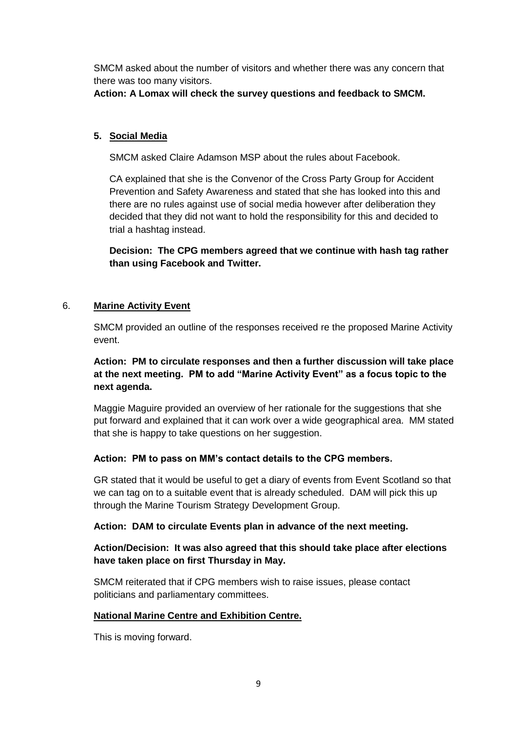SMCM asked about the number of visitors and whether there was any concern that there was too many visitors.

**Action: A Lomax will check the survey questions and feedback to SMCM.**

# **5. Social Media**

SMCM asked Claire Adamson MSP about the rules about Facebook.

CA explained that she is the Convenor of the Cross Party Group for Accident Prevention and Safety Awareness and stated that she has looked into this and there are no rules against use of social media however after deliberation they decided that they did not want to hold the responsibility for this and decided to trial a hashtag instead.

**Decision: The CPG members agreed that we continue with hash tag rather than using Facebook and Twitter.**

## 6. **Marine Activity Event**

SMCM provided an outline of the responses received re the proposed Marine Activity event.

# **Action: PM to circulate responses and then a further discussion will take place at the next meeting. PM to add "Marine Activity Event" as a focus topic to the next agenda.**

Maggie Maguire provided an overview of her rationale for the suggestions that she put forward and explained that it can work over a wide geographical area. MM stated that she is happy to take questions on her suggestion.

## **Action: PM to pass on MM's contact details to the CPG members.**

GR stated that it would be useful to get a diary of events from Event Scotland so that we can tag on to a suitable event that is already scheduled. DAM will pick this up through the Marine Tourism Strategy Development Group.

## **Action: DAM to circulate Events plan in advance of the next meeting.**

#### **Action/Decision: It was also agreed that this should take place after elections have taken place on first Thursday in May.**

SMCM reiterated that if CPG members wish to raise issues, please contact politicians and parliamentary committees.

## **National Marine Centre and Exhibition Centre.**

This is moving forward.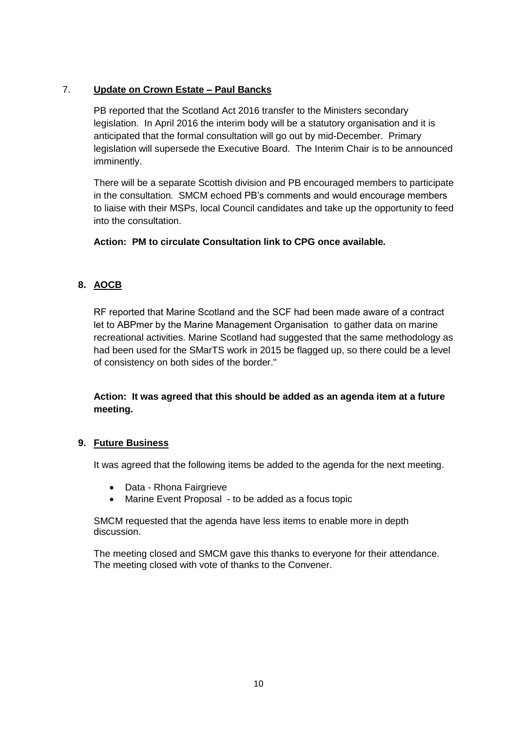# 7. **Update on Crown Estate – Paul Bancks**

PB reported that the Scotland Act 2016 transfer to the Ministers secondary legislation. In April 2016 the interim body will be a statutory organisation and it is anticipated that the formal consultation will go out by mid-December. Primary legislation will supersede the Executive Board. The Interim Chair is to be announced imminently.

There will be a separate Scottish division and PB encouraged members to participate in the consultation. SMCM echoed PB's comments and would encourage members to liaise with their MSPs, local Council candidates and take up the opportunity to feed into the consultation.

**Action: PM to circulate Consultation link to CPG once available.**

# **8. AOCB**

RF reported that Marine Scotland and the SCF had been made aware of a contract let to ABPmer by the Marine Management Organisation to gather data on marine recreational activities. Marine Scotland had suggested that the same methodology as had been used for the SMarTS work in 2015 be flagged up, so there could be a level of consistency on both sides of the border."

**Action: It was agreed that this should be added as an agenda item at a future meeting.**

## **9. Future Business**

It was agreed that the following items be added to the agenda for the next meeting.

- Data Rhona Fairgrieve
- Marine Event Proposal to be added as a focus topic

SMCM requested that the agenda have less items to enable more in depth discussion.

The meeting closed and SMCM gave this thanks to everyone for their attendance. The meeting closed with vote of thanks to the Convener.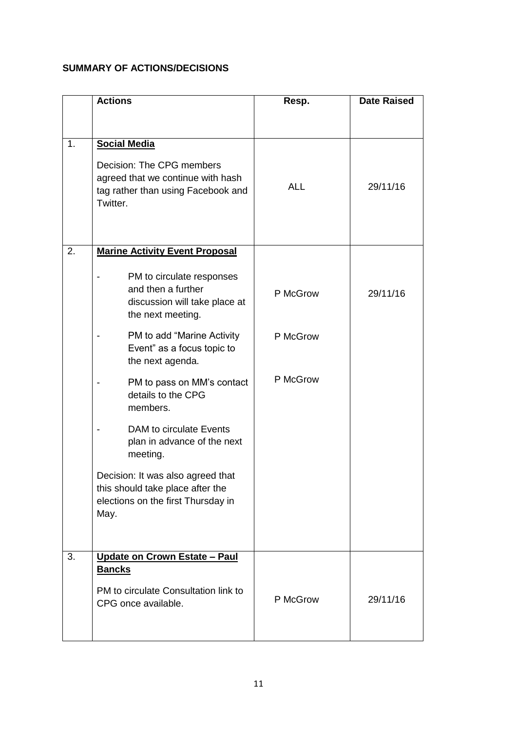# **SUMMARY OF ACTIONS/DECISIONS**

|    | <b>Actions</b>                                                                                                                          | Resp.      | <b>Date Raised</b> |
|----|-----------------------------------------------------------------------------------------------------------------------------------------|------------|--------------------|
|    |                                                                                                                                         |            |                    |
| 1. | <b>Social Media</b><br>Decision: The CPG members<br>agreed that we continue with hash<br>tag rather than using Facebook and<br>Twitter. | <b>ALL</b> | 29/11/16           |
| 2. | <b>Marine Activity Event Proposal</b>                                                                                                   |            |                    |
|    | PM to circulate responses<br>and then a further<br>discussion will take place at<br>the next meeting.                                   | P McGrow   | 29/11/16           |
|    | PM to add "Marine Activity<br>Event" as a focus topic to<br>the next agenda.                                                            | P McGrow   |                    |
|    | PM to pass on MM's contact<br>details to the CPG<br>members.                                                                            | P McGrow   |                    |
|    | DAM to circulate Events<br>plan in advance of the next<br>meeting.                                                                      |            |                    |
|    | Decision: It was also agreed that<br>this should take place after the<br>elections on the first Thursday in<br>May.                     |            |                    |
| 3. | Update on Crown Estate - Paul                                                                                                           |            |                    |
|    | <u>Bancks</u><br>PM to circulate Consultation link to<br>CPG once available.                                                            | P McGrow   | 29/11/16           |